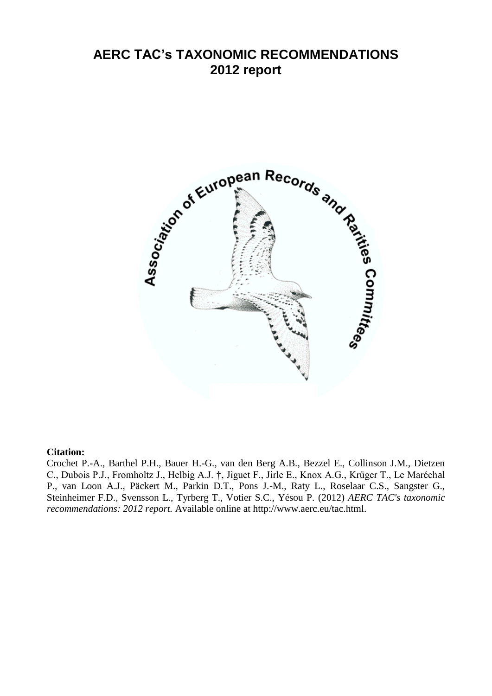# **AERC TAC's TAXONOMIC RECOMMENDATIONS 2012 report**



#### **Citation:**

Crochet P.-A., Barthel P.H., Bauer H.-G., van den Berg A.B., Bezzel E., Collinson J.M., Dietzen C., Dubois P.J., Fromholtz J., Helbig A.J. †, Jiguet F., Jirle E., Knox A.G., Krüger T., Le Maréchal P., van Loon A.J., Päckert M., Parkin D.T., Pons J.-M., Raty L., Roselaar C.S., Sangster G., Steinheimer F.D., Svensson L., Tyrberg T., Votier S.C., Yésou P. (2012) *AERC TAC's taxonomic recommendations: 2012 report.* Available online at http://www.aerc.eu/tac.html.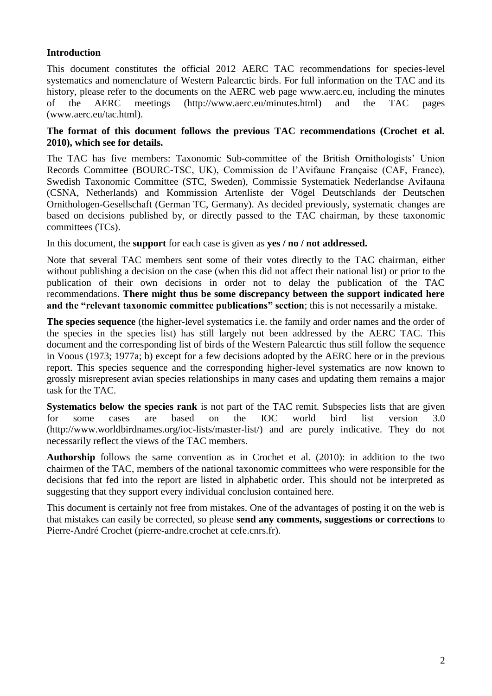# **Introduction**

This document constitutes the official 2012 AERC TAC recommendations for species-level systematics and nomenclature of Western Palearctic birds. For full information on the TAC and its history, please refer to the documents on the AERC web page www.aerc.eu, including the minutes of the AERC meetings (http://www.aerc.eu/minutes.html) and the TAC pages (www.aerc.eu/tac.html).

#### **The format of this document follows the previous TAC recommendations (Crochet et al. 2010), which see for details.**

The TAC has five members: Taxonomic Sub-committee of the British Ornithologists' Union Records Committee (BOURC-TSC, UK), Commission de l'Avifaune Française (CAF, France), Swedish Taxonomic Committee (STC, Sweden), Commissie Systematiek Nederlandse Avifauna (CSNA, Netherlands) and Kommission Artenliste der Vögel Deutschlands der Deutschen Ornithologen-Gesellschaft (German TC, Germany). As decided previously, systematic changes are based on decisions published by, or directly passed to the TAC chairman, by these taxonomic committees (TCs).

In this document, the **support** for each case is given as **yes / no / not addressed.**

Note that several TAC members sent some of their votes directly to the TAC chairman, either without publishing a decision on the case (when this did not affect their national list) or prior to the publication of their own decisions in order not to delay the publication of the TAC recommendations. **There might thus be some discrepancy between the support indicated here and the "relevant taxonomic committee publications" section**; this is not necessarily a mistake.

**The species sequence** (the higher-level systematics i.e. the family and order names and the order of the species in the species list) has still largely not been addressed by the AERC TAC. This document and the corresponding list of birds of the Western Palearctic thus still follow the sequence in Voous (1973; 1977a; b) except for a few decisions adopted by the AERC here or in the previous report. This species sequence and the corresponding higher-level systematics are now known to grossly misrepresent avian species relationships in many cases and updating them remains a major task for the TAC.

**Systematics below the species rank** is not part of the TAC remit. Subspecies lists that are given for some cases are based on the IOC world bird list version 3.0 (http://www.worldbirdnames.org/ioc-lists/master-list/) and are purely indicative. They do not necessarily reflect the views of the TAC members.

**Authorship** follows the same convention as in Crochet et al. (2010): in addition to the two chairmen of the TAC, members of the national taxonomic committees who were responsible for the decisions that fed into the report are listed in alphabetic order. This should not be interpreted as suggesting that they support every individual conclusion contained here.

This document is certainly not free from mistakes. One of the advantages of posting it on the web is that mistakes can easily be corrected, so please **send any comments, suggestions or corrections** to Pierre-André Crochet (pierre-andre.crochet at cefe.cnrs.fr).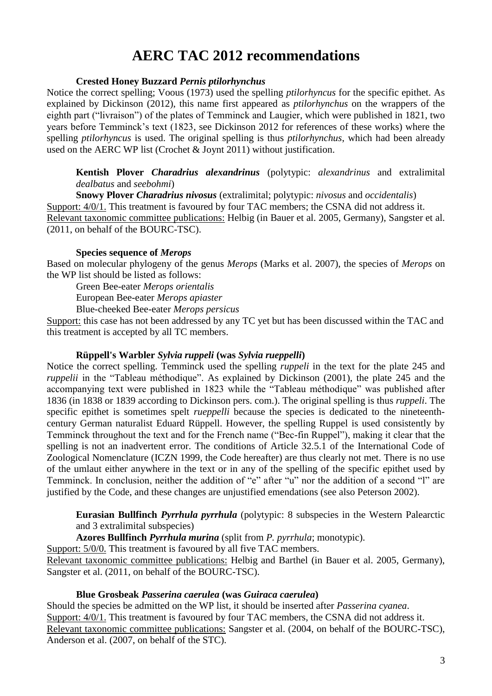# **AERC TAC 2012 recommendations**

#### **Crested Honey Buzzard** *Pernis ptilorhynchus*

Notice the correct spelling; Voous (1973) used the spelling *ptilorhyncus* for the specific epithet. As explained by Dickinson (2012), this name first appeared as *ptilorhynchus* on the wrappers of the eighth part ("livraison") of the plates of Temminck and Laugier, which were published in 1821, two years before Temminck's text (1823, see Dickinson 2012 for references of these works) where the spelling *ptilorhyncus* is used. The original spelling is thus *ptilorhynchus*, which had been already used on the AERC WP list (Crochet & Joynt 2011) without justification.

**Kentish Plover** *Charadrius alexandrinus* (polytypic: *alexandrinus* and extralimital *dealbatus* and *seebohmi*)

**Snowy Plover** *Charadrius nivosus* (extralimital; polytypic: *nivosus* and *occidentalis*) Support: 4/0/1. This treatment is favoured by four TAC members; the CSNA did not address it. Relevant taxonomic committee publications: Helbig (in Bauer et al. 2005, Germany), Sangster et al. (2011, on behalf of the BOURC-TSC).

#### **Species sequence of** *Merops*

Based on molecular phylogeny of the genus *Merops* (Marks et al. 2007), the species of *Merops* on the WP list should be listed as follows:

Green Bee-eater *Merops orientalis*

European Bee-eater *Merops apiaster*

Blue-cheeked Bee-eater *Merops persicus*

Support: this case has not been addressed by any TC yet but has been discussed within the TAC and this treatment is accepted by all TC members.

# **Rüppell's Warbler** *Sylvia ruppeli* **(was** *Sylvia rueppelli***)**

Notice the correct spelling. Temminck used the spelling *ruppeli* in the text for the plate 245 and *ruppelii* in the "Tableau méthodique". As explained by Dickinson (2001), the plate 245 and the accompanying text were published in 1823 while the "Tableau méthodique" was published after 1836 (in 1838 or 1839 according to Dickinson pers. com.). The original spelling is thus *ruppeli*. The specific epithet is sometimes spelt *rueppelli* because the species is dedicated to the nineteenthcentury German naturalist Eduard Rüppell. However, the spelling Ruppel is used consistently by Temminck throughout the text and for the French name ("Bec-fin Ruppel"), making it clear that the spelling is not an inadvertent error. The conditions of Article 32.5.1 of the International Code of Zoological Nomenclature (ICZN 1999, the Code hereafter) are thus clearly not met. There is no use of the umlaut either anywhere in the text or in any of the spelling of the specific epithet used by Temminck. In conclusion, neither the addition of "e" after "u" nor the addition of a second "l" are justified by the Code, and these changes are unjustified emendations (see also Peterson 2002).

**Eurasian Bullfinch** *Pyrrhula pyrrhula* (polytypic: 8 subspecies in the Western Palearctic and 3 extralimital subspecies)

**Azores Bullfinch** *Pyrrhula murina* (split from *P. pyrrhula*; monotypic).

Support:  $5/0/0$ . This treatment is favoured by all five TAC members. Relevant taxonomic committee publications: Helbig and Barthel (in Bauer et al. 2005, Germany), Sangster et al. (2011, on behalf of the BOURC-TSC).

# **Blue Grosbeak** *Passerina caerulea* **(was** *Guiraca caerulea***)**

Should the species be admitted on the WP list, it should be inserted after *Passerina cyanea*. Support: 4/0/1. This treatment is favoured by four TAC members, the CSNA did not address it. Relevant taxonomic committee publications: Sangster et al. (2004, on behalf of the BOURC-TSC), Anderson et al. (2007, on behalf of the STC).